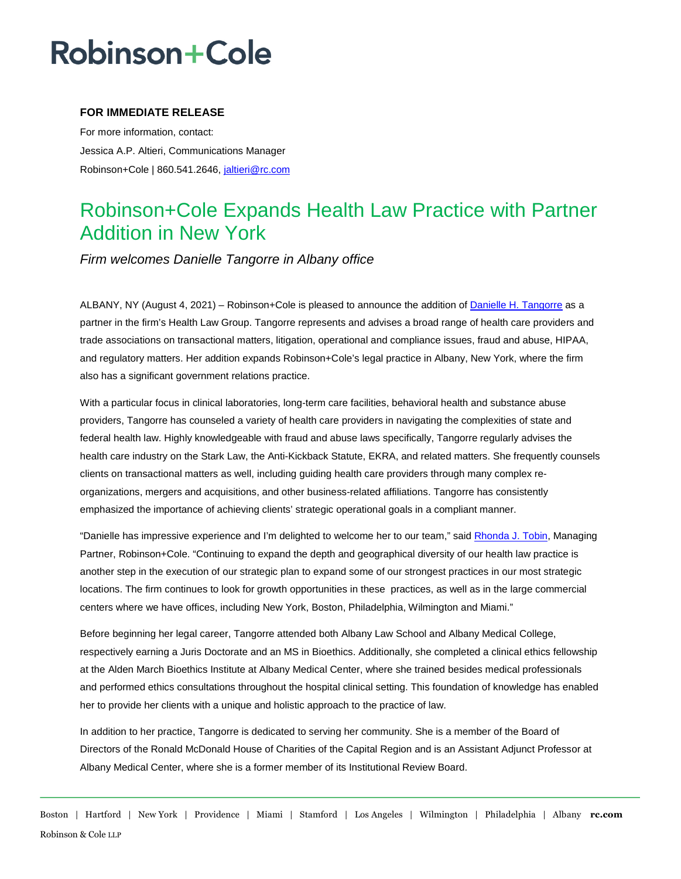## **Robinson+Cole**

### **FOR IMMEDIATE RELEASE**

For more information, contact: Jessica A.P. Altieri, Communications Manager Robinson+Cole | 860.541.2646, [jaltieri@rc.com](mailto:jaltieri@rc.com)

### Robinson+Cole Expands Health Law Practice with Partner Addition in New York

*Firm welcomes Danielle Tangorre in Albany office* 

ALBANY, NY (August 4, 2021) – Robinson+Cole is pleased to announce the addition o[f Danielle H. Tangorre](http://www.rc.com/people/DanielleHolleyTangorre.cfm) as a partner in the firm's Health Law Group. Tangorre represents and advises a broad range of health care providers and trade associations on transactional matters, litigation, operational and compliance issues, fraud and abuse, HIPAA, and regulatory matters. Her addition expands Robinson+Cole's legal practice in Albany, New York, where the firm also has a significant government relations practice.

With a particular focus in clinical laboratories, long-term care facilities, behavioral health and substance abuse providers, Tangorre has counseled a variety of health care providers in navigating the complexities of state and federal health law. Highly knowledgeable with fraud and abuse laws specifically, Tangorre regularly advises the health care industry on the Stark Law, the Anti-Kickback Statute, EKRA, and related matters. She frequently counsels clients on transactional matters as well, including guiding health care providers through many complex reorganizations, mergers and acquisitions, and other business-related affiliations. Tangorre has consistently emphasized the importance of achieving clients' strategic operational goals in a compliant manner.

"Danielle has impressive experience and I'm delighted to welcome her to our team," sai[d Rhonda J. Tobin,](http://www.rc.com/people/RhondaJTobin.cfm) Managing Partner, Robinson+Cole. "Continuing to expand the depth and geographical diversity of our health law practice is another step in the execution of our strategic plan to expand some of our strongest practices in our most strategic locations. The firm continues to look for growth opportunities in these practices, as well as in the large commercial centers where we have offices, including New York, Boston, Philadelphia, Wilmington and Miami."

Before beginning her legal career, Tangorre attended both Albany Law School and Albany Medical College, respectively earning a Juris Doctorate and an MS in Bioethics. Additionally, she completed a clinical ethics fellowship at the Alden March Bioethics Institute at Albany Medical Center, where she trained besides medical professionals and performed ethics consultations throughout the hospital clinical setting. This foundation of knowledge has enabled her to provide her clients with a unique and holistic approach to the practice of law.

In addition to her practice, Tangorre is dedicated to serving her community. She is a member of the Board of Directors of the Ronald McDonald House of Charities of the Capital Region and is an Assistant Adjunct Professor at Albany Medical Center, where she is a former member of its Institutional Review Board.

Boston | Hartford | New York | Providence | Miami | Stamford | Los Angeles | Wilmington | Philadelphia | Albany **rc.com** Robinson & Cole LLP